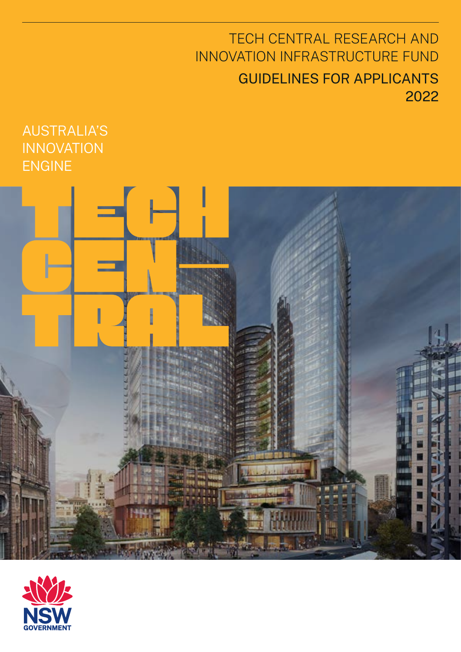## TECH CENTRAL RESEARCH AND INNOVATION INFRASTRUCTURE FUND GUIDELINES FOR APPLICANTS 2022

### AUSTRALIA'S INNOVATION ENGINE



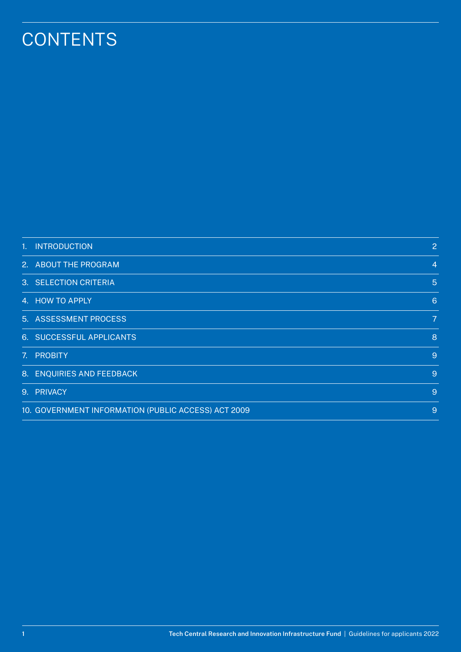# **CONTENTS**

| 1. INTRODUCTION                                     | 2                |
|-----------------------------------------------------|------------------|
| 2. ABOUT THE PROGRAM                                | $\overline{4}$   |
| 3. SELECTION CRITERIA                               | $\sqrt{5}$       |
| 4. HOW TO APPLY                                     | $6 \overline{6}$ |
| 5. ASSESSMENT PROCESS                               | $\overline{7}$   |
| 6. SUCCESSFUL APPLICANTS                            | 8                |
| 7. PROBITY                                          | $\overline{9}$   |
| 8. ENQUIRIES AND FEEDBACK                           | $\overline{9}$   |
| 9. PRIVACY                                          | 9                |
| 10. GOVERNMENT INFORMATION (PUBLIC ACCESS) ACT 2009 | 9                |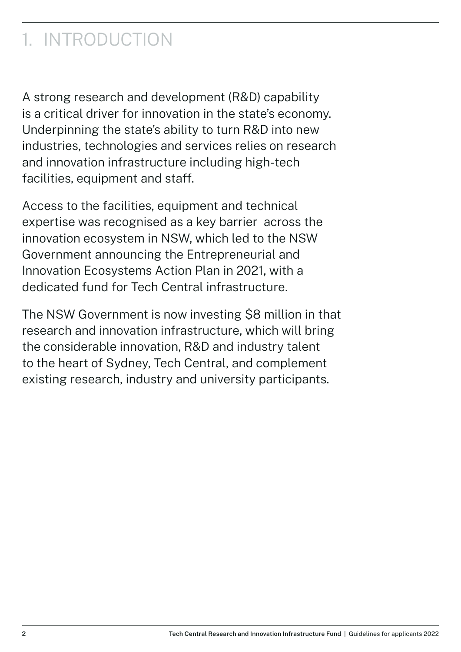# <span id="page-2-0"></span>1. INTRODUCTION

A strong research and development (R&D) capability is a critical driver for innovation in the state's economy. Underpinning the state's ability to turn R&D into new industries, technologies and services relies on research and innovation infrastructure including high-tech facilities, equipment and staff.

Access to the facilities, equipment and technical expertise was recognised as a key barrier across the innovation ecosystem in NSW, which led to the NSW Government announcing the Entrepreneurial and Innovation Ecosystems Action Plan in 2021, with a dedicated fund for Tech Central infrastructure.

The NSW Government is now investing \$8 million in that research and innovation infrastructure, which will bring the considerable innovation, R&D and industry talent to the heart of Sydney, Tech Central, and complement existing research, industry and university participants.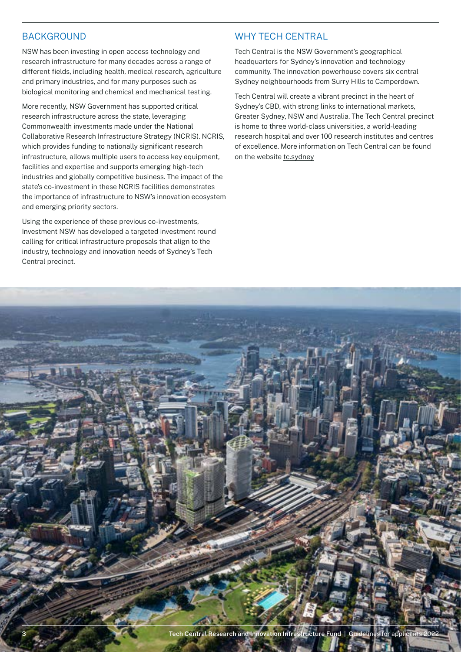#### BACKGROUND

NSW has been investing in open access technology and research infrastructure for many decades across a range of different fields, including health, medical research, agriculture and primary industries, and for many purposes such as biological monitoring and chemical and mechanical testing.

More recently, NSW Government has supported critical research infrastructure across the state, leveraging Commonwealth investments made under the National Collaborative Research Infrastructure Strategy (NCRIS). NCRIS, which provides funding to nationally significant research infrastructure, allows multiple users to access key equipment, facilities and expertise and supports emerging high-tech industries and globally competitive business. The impact of the state's co-investment in these NCRIS facilities demonstrates the importance of infrastructure to NSW's innovation ecosystem and emerging priority sectors.

Using the experience of these previous co-investments, Investment NSW has developed a targeted investment round calling for critical infrastructure proposals that align to the industry, technology and innovation needs of Sydney's Tech Central precinct.

#### WHY TECH CENTRAL

Tech Central is the NSW Government's geographical headquarters for Sydney's innovation and technology community. The innovation powerhouse covers six central Sydney neighbourhoods from Surry Hills to Camperdown.

Tech Central will create a vibrant precinct in the heart of Sydney's CBD, with strong links to international markets, Greater Sydney, NSW and Australia. The Tech Central precinct is home to three world-class universities, a world-leading research hospital and over 100 research institutes and centres of excellence. More information on Tech Central can be found on the website [tc.sydney](https://www.tc.sydney/index.html)

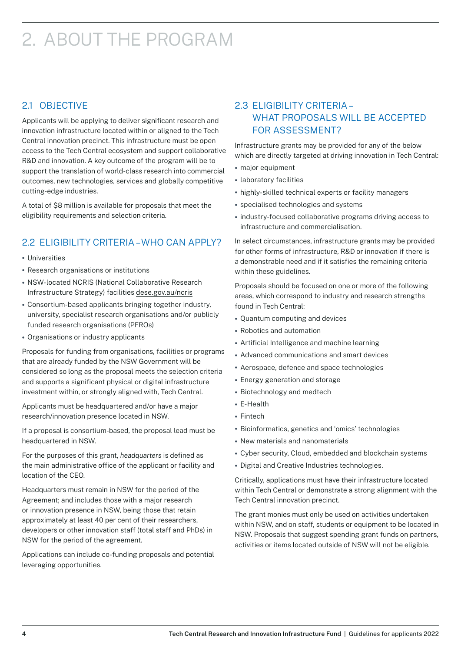# <span id="page-4-0"></span>2. ABOUT THE PROGRAM

### 2.1 OBJECTIVE

Applicants will be applying to deliver significant research and innovation infrastructure located within or aligned to the Tech Central innovation precinct. This infrastructure must be open access to the Tech Central ecosystem and support collaborative R&D and innovation. A key outcome of the program will be to support the translation of world-class research into commercial outcomes, new technologies, services and globally competitive cutting-edge industries.

A total of \$8 million is available for proposals that meet the eligibility requirements and selection criteria.

### 2.2 ELIGIBILITY CRITERIA – WHO CAN APPLY?

- **•** Universities
- **•** Research organisations or institutions
- **•** NSW-located NCRIS (National Collaborative Research Infrastructure Strategy) facilities [dese.gov.au/ncris](https://www.dese.gov.au/ncris)
- **•** Consortium-based applicants bringing together industry, university, specialist research organisations and/or publicly funded research organisations (PFROs)
- **•** Organisations or industry applicants

Proposals for funding from organisations, facilities or programs that are already funded by the NSW Government will be considered so long as the proposal meets the selection criteria and supports a significant physical or digital infrastructure investment within, or strongly aligned with, Tech Central.

Applicants must be headquartered and/or have a major research/innovation presence located in NSW.

If a proposal is consortium-based, the proposal lead must be headquartered in NSW.

For the purposes of this grant, *headquarters* is defined as the main administrative office of the applicant or facility and location of the CEO.

Headquarters must remain in NSW for the period of the Agreement; and includes those with a major research or innovation presence in NSW, being those that retain approximately at least 40 per cent of their researchers, developers or other innovation staff (total staff and PhDs) in NSW for the period of the agreement.

Applications can include co-funding proposals and potential leveraging opportunities.

### 2.3 ELIGIBILITY CRITERIA – WHAT PROPOSALS WILL BE ACCEPTED FOR ASSESSMENT?

Infrastructure grants may be provided for any of the below which are directly targeted at driving innovation in Tech Central:

- **•** major equipment
- **•** laboratory facilities
- **•** highly-skilled technical experts or facility managers
- **•** specialised technologies and systems
- **•** industry-focused collaborative programs driving access to infrastructure and commercialisation.

In select circumstances, infrastructure grants may be provided for other forms of infrastructure, R&D or innovation if there is a demonstrable need and if it satisfies the remaining criteria within these guidelines.

Proposals should be focused on one or more of the following areas, which correspond to industry and research strengths found in Tech Central:

- **•** Quantum computing and devices
- **•** Robotics and automation
- **•** Artificial Intelligence and machine learning
- **•** Advanced communications and smart devices
- **•** Aerospace, defence and space technologies
- **•** Energy generation and storage
- **•** Biotechnology and medtech
- **•** E-Health
- **•** Fintech
- **•** Bioinformatics, genetics and 'omics' technologies
- **•** New materials and nanomaterials
- **•** Cyber security, Cloud, embedded and blockchain systems
- **•** Digital and Creative Industries technologies.

Critically, applications must have their infrastructure located within Tech Central or demonstrate a strong alignment with the Tech Central innovation precinct.

The grant monies must only be used on activities undertaken within NSW, and on staff, students or equipment to be located in NSW. Proposals that suggest spending grant funds on partners, activities or items located outside of NSW will not be eligible.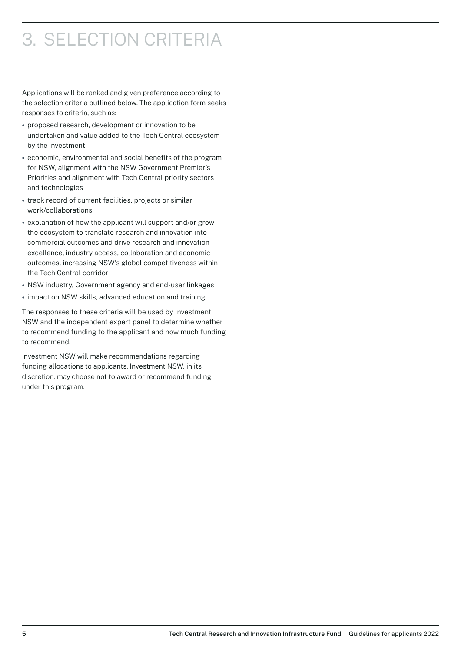# <span id="page-5-0"></span>3. SELECTION CRITERIA

Applications will be ranked and given preference according to the selection criteria outlined below. The application form seeks responses to criteria, such as:

- **•** proposed research, development or innovation to be undertaken and value added to the Tech Central ecosystem by the investment
- **•** economic, environmental and social benefits of the program for NSW, alignment with the [NSW Government Premier's](https://www.nsw.gov.au/premiers-priorities)  [Priorities](https://www.nsw.gov.au/premiers-priorities) and alignment with Tech Central priority sectors and technologies
- **•** track record of current facilities, projects or similar work/collaborations
- **•** explanation of how the applicant will support and/or grow the ecosystem to translate research and innovation into commercial outcomes and drive research and innovation excellence, industry access, collaboration and economic outcomes, increasing NSW's global competitiveness within the Tech Central corridor
- **•** NSW industry, Government agency and end-user linkages
- **•** impact on NSW skills, advanced education and training.

The responses to these criteria will be used by Investment NSW and the independent expert panel to determine whether to recommend funding to the applicant and how much funding to recommend.

Investment NSW will make recommendations regarding funding allocations to applicants. Investment NSW, in its discretion, may choose not to award or recommend funding under this program.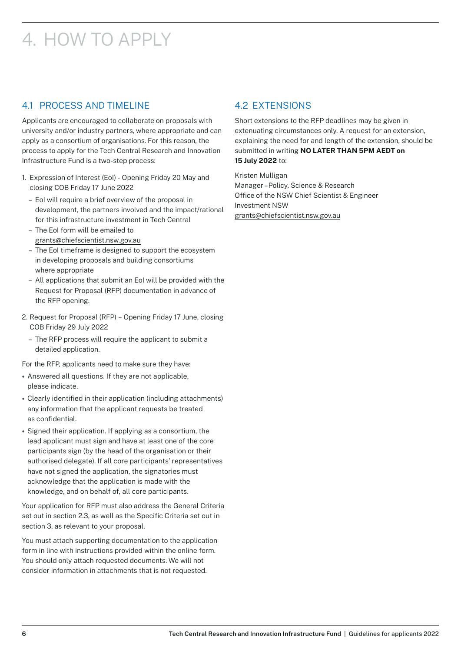# <span id="page-6-0"></span>4. HOW TO APPLY

### 4.1 PROCESS AND TIMELINE

Applicants are encouraged to collaborate on proposals with university and/or industry partners, where appropriate and can apply as a consortium of organisations. For this reason, the process to apply for the Tech Central Research and Innovation Infrastructure Fund is a two-step process:

- 1. Expression of Interest (EoI) Opening Friday 20 May and closing COB Friday 17 June 2022
	- EoI will require a brief overview of the proposal in development, the partners involved and the impact/rational for this infrastructure investment in Tech Central
	- The EoI form will be emailed to [grants@chiefscientist.nsw.gov.au](mailto:grants%40chiefscientist.nsw.gov.au?subject=)
	- The EoI timeframe is designed to support the ecosystem in developing proposals and building consortiums where appropriate
	- All applications that submit an EoI will be provided with the Request for Proposal (RFP) documentation in advance of the RFP opening.
- 2. Request for Proposal (RFP) Opening Friday 17 June, closing COB Friday 29 July 2022
	- The RFP process will require the applicant to submit a detailed application.

For the RFP, applicants need to make sure they have:

- **•** Answered all questions. If they are not applicable, please indicate.
- **•** Clearly identified in their application (including attachments) any information that the applicant requests be treated as confidential.
- **•** Signed their application. If applying as a consortium, the lead applicant must sign and have at least one of the core participants sign (by the head of the organisation or their authorised delegate). If all core participants' representatives have not signed the application, the signatories must acknowledge that the application is made with the knowledge, and on behalf of, all core participants.

Your application for RFP must also address the General Criteria set out in section 2.3, as well as the Specific Criteria set out in section 3, as relevant to your proposal.

You must attach supporting documentation to the application form in line with instructions provided within the online form. You should only attach requested documents. We will not consider information in attachments that is not requested.

#### 4.2 EXTENSIONS

Short extensions to the RFP deadlines may be given in extenuating circumstances only. A request for an extension, explaining the need for and length of the extension, should be submitted in writing **NO LATER THAN 5PM AEDT on 15 July 2022** to:

Kristen Mulligan Manager – Policy, Science & Research Office of the NSW Chief Scientist & Engineer Investment NSW [grants@chiefscientist.nsw.gov.au](mailto:grants%40chiefscientist.nsw.gov.au?subject=)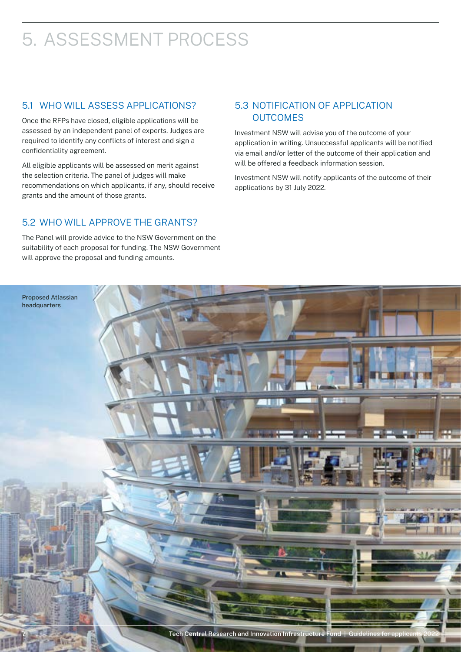# <span id="page-7-0"></span>5. ASSESSMENT PROCESS

### 5.1 WHO WILL ASSESS APPLICATIONS?

Once the RFPs have closed, eligible applications will be assessed by an independent panel of experts. Judges are required to identify any conflicts of interest and sign a confidentiality agreement.

All eligible applicants will be assessed on merit against the selection criteria. The panel of judges will make recommendations on which applicants, if any, should receive grants and the amount of those grants.

### 5.3 NOTIFICATION OF APPLICATION OUTCOMES

Investment NSW will advise you of the outcome of your application in writing. Unsuccessful applicants will be notified via email and/or letter of the outcome of their application and will be offered a feedback information session.

Investment NSW will notify applicants of the outcome of their applications by 31 July 2022.

### 5.2 WHO WILL APPROVE THE GRANTS?

The Panel will provide advice to the NSW Government on the suitability of each proposal for funding. The NSW Government will approve the proposal and funding amounts.

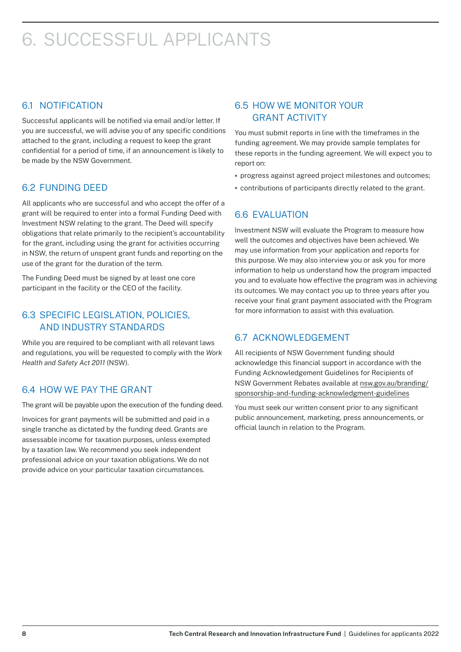## <span id="page-8-0"></span>6. SUCCESSFUL APPLICANTS

### 6.1 NOTIFICATION

Successful applicants will be notified via email and/or letter. If you are successful, we will advise you of any specific conditions attached to the grant, including a request to keep the grant confidential for a period of time, if an announcement is likely to be made by the NSW Government.

### 6.2 FUNDING DEED

All applicants who are successful and who accept the offer of a grant will be required to enter into a formal Funding Deed with Investment NSW relating to the grant. The Deed will specify obligations that relate primarily to the recipient's accountability for the grant, including using the grant for activities occurring in NSW, the return of unspent grant funds and reporting on the use of the grant for the duration of the term.

The Funding Deed must be signed by at least one core participant in the facility or the CEO of the facility.

### 6.3 SPECIFIC LEGISLATION, POLICIES, AND INDUSTRY STANDARDS

While you are required to be compliant with all relevant laws and regulations, you will be requested to comply with the *Work Health and Safety Act 2011* (NSW).

### 6.4 HOW WE PAY THE GRANT

The grant will be payable upon the execution of the funding deed.

Invoices for grant payments will be submitted and paid in a single tranche as dictated by the funding deed. Grants are assessable income for taxation purposes, unless exempted by a taxation law. We recommend you seek independent professional advice on your taxation obligations. We do not provide advice on your particular taxation circumstances.

### 6.5 HOW WE MONITOR YOUR GRANT ACTIVITY

You must submit reports in line with the timeframes in the funding agreement. We may provide sample templates for these reports in the funding agreement. We will expect you to report on:

- **•** progress against agreed project milestones and outcomes;
- **•** contributions of participants directly related to the grant.

### 6.6 EVALUATION

Investment NSW will evaluate the Program to measure how well the outcomes and objectives have been achieved. We may use information from your application and reports for this purpose. We may also interview you or ask you for more information to help us understand how the program impacted you and to evaluate how effective the program was in achieving its outcomes. We may contact you up to three years after you receive your final grant payment associated with the Program for more information to assist with this evaluation.

### 6.7 ACKNOWLEDGEMENT

All recipients of NSW Government funding should acknowledge this financial support in accordance with the Funding Acknowledgement Guidelines for Recipients of NSW Government Rebates available at [nsw.gov.au/branding/](https://www.nsw.gov.au/branding/sponsorship-and-funding-acknowledgment-guidelines) [sponsorship-and-funding-acknowledgment-guidelines](https://www.nsw.gov.au/branding/sponsorship-and-funding-acknowledgment-guidelines)

You must seek our written consent prior to any significant public announcement, marketing, press announcements, or official launch in relation to the Program.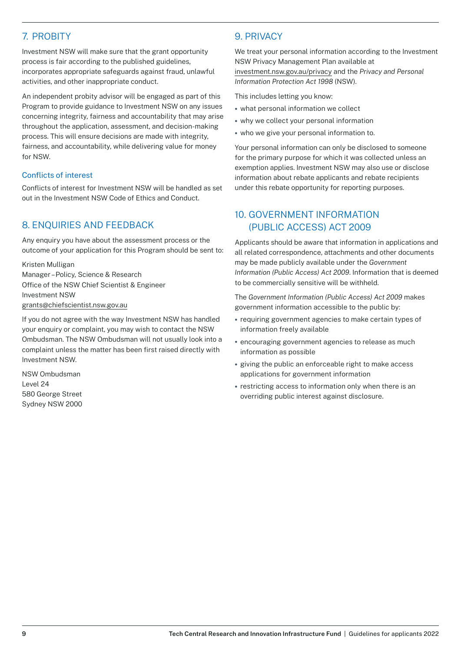### <span id="page-9-0"></span>7. PROBITY

Investment NSW will make sure that the grant opportunity process is fair according to the published guidelines, incorporates appropriate safeguards against fraud, unlawful activities, and other inappropriate conduct.

An independent probity advisor will be engaged as part of this Program to provide guidance to Investment NSW on any issues concerning integrity, fairness and accountability that may arise throughout the application, assessment, and decision-making process. This will ensure decisions are made with integrity, fairness, and accountability, while delivering value for money for NSW.

#### Conflicts of interest

Conflicts of interest for Investment NSW will be handled as set out in the Investment NSW Code of Ethics and Conduct.

### 8. ENQUIRIES AND FEEDBACK

Any enquiry you have about the assessment process or the outcome of your application for this Program should be sent to:

Kristen Mulligan Manager – Policy, Science & Research Office of the NSW Chief Scientist & Engineer Investment NSW [grants@chiefscientist.nsw.gov.au](mailto:grants%40chiefscientist.nsw.gov.au?subject=)

If you do not agree with the way Investment NSW has handled your enquiry or complaint, you may wish to contact the NSW Ombudsman. The NSW Ombudsman will not usually look into a complaint unless the matter has been first raised directly with Investment NSW.

NSW Ombudsman Level 24 580 George Street Sydney NSW 2000

### 9. PRIVACY

We treat your personal information according to the Investment NSW Privacy Management Plan available at [investment.nsw.gov.au/privacy](https://www.investment.nsw.gov.au/privacy) and the *Privacy and Personal Information Protection Act 1998* (NSW).

This includes letting you know:

- **•** what personal information we collect
- **•** why we collect your personal information
- **•** who we give your personal information to.

Your personal information can only be disclosed to someone for the primary purpose for which it was collected unless an exemption applies. Investment NSW may also use or disclose information about rebate applicants and rebate recipients under this rebate opportunity for reporting purposes.

#### 10. GOVERNMENT INFORMATION (PUBLIC ACCESS) ACT 2009

Applicants should be aware that information in applications and all related correspondence, attachments and other documents may be made publicly available under the *Government Information (Public Access) Act 2009*. Information that is deemed to be commercially sensitive will be withheld.

The *Government Information (Public Access) Act 2009* makes government information accessible to the public by:

- **•** requiring government agencies to make certain types of information freely available
- **•** encouraging government agencies to release as much information as possible
- **•** giving the public an enforceable right to make access applications for government information
- **•** restricting access to information only when there is an overriding public interest against disclosure.